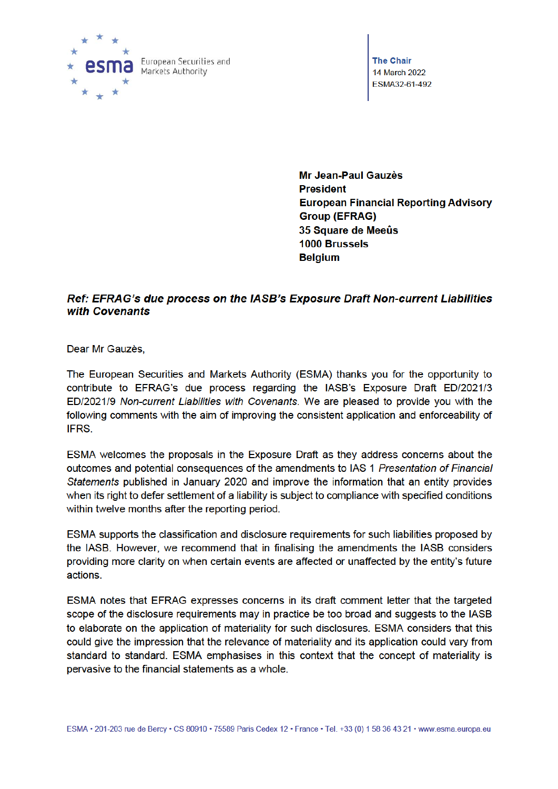

**The Chair** 14 March 2022 ESMA32-61-492

Mr Jean-Paul Gauzès **President European Financial Reporting Advisory Group (EFRAG)** 35 Square de Meeûs 1000 Brussels **Belgium** 

# Ref: EFRAG's due process on the IASB's Exposure Draft Non-current Liabilities with Covenants

Dear Mr Gauzès.

The European Securities and Markets Authority (ESMA) thanks you for the opportunity to contribute to EFRAG's due process regarding the IASB's Exposure Draft ED/2021/3 ED/2021/9 Non-current Liabilities with Covenants. We are pleased to provide you with the following comments with the aim of improving the consistent application and enforceability of IFRS.

ESMA welcomes the proposals in the Exposure Draft as they address concerns about the outcomes and potential consequences of the amendments to IAS 1 Presentation of Financial Statements published in January 2020 and improve the information that an entity provides when its right to defer settlement of a liability is subject to compliance with specified conditions within twelve months after the reporting period.

ESMA supports the classification and disclosure requirements for such liabilities proposed by the IASB. However, we recommend that in finalising the amendments the IASB considers providing more clarity on when certain events are affected or unaffected by the entity's future actions.

ESMA notes that EFRAG expresses concerns in its draft comment letter that the targeted scope of the disclosure requirements may in practice be too broad and suggests to the IASB to elaborate on the application of materiality for such disclosures. ESMA considers that this could give the impression that the relevance of materiality and its application could vary from standard to standard. ESMA emphasises in this context that the concept of materiality is pervasive to the financial statements as a whole.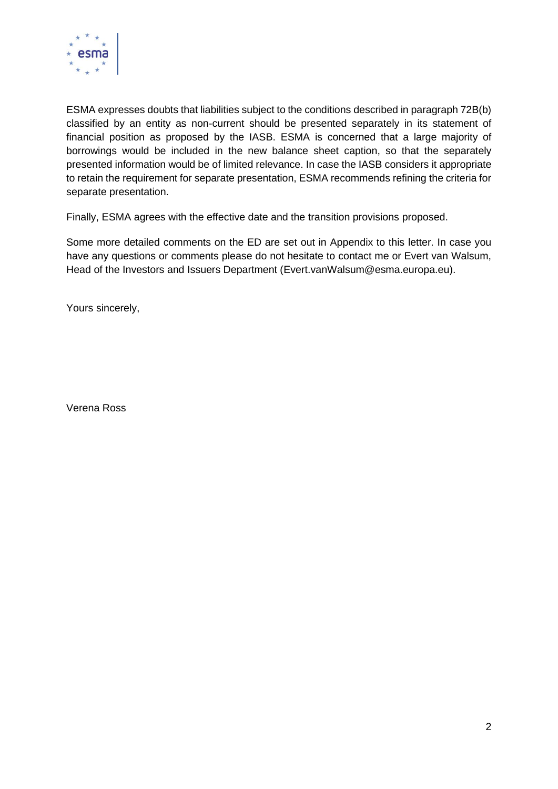

ESMA expresses doubts that liabilities subject to the conditions described in paragraph 72B(b) classified by an entity as non-current should be presented separately in its statement of financial position as proposed by the IASB. ESMA is concerned that a large majority of borrowings would be included in the new balance sheet caption, so that the separately presented information would be of limited relevance. In case the IASB considers it appropriate to retain the requirement for separate presentation, ESMA recommends refining the criteria for separate presentation.

Finally, ESMA agrees with the effective date and the transition provisions proposed.

Some more detailed comments on the ED are set out in Appendix to this letter. In case you have any questions or comments please do not hesitate to contact me or Evert van Walsum, Head of the Investors and Issuers Department (Evert.vanWalsum@esma.europa.eu).

Yours sincerely,

Verena Ross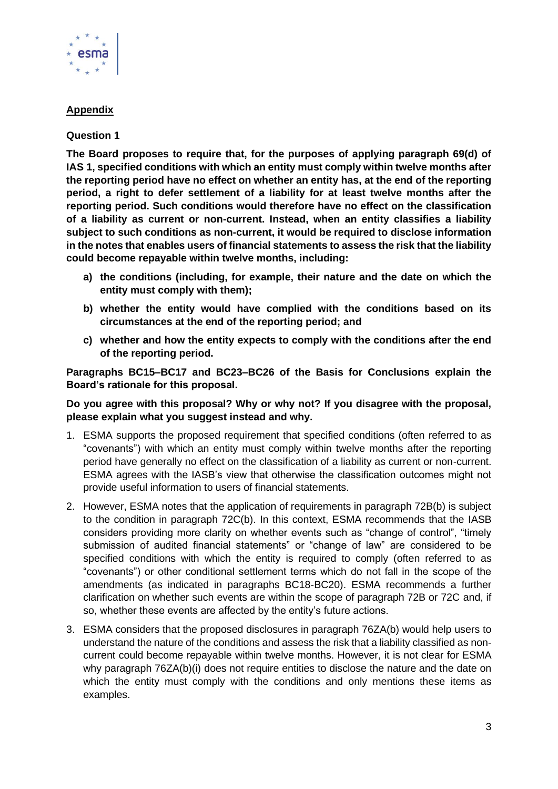

## **Appendix**

### **Question 1**

**The Board proposes to require that, for the purposes of applying paragraph 69(d) of IAS 1, specified conditions with which an entity must comply within twelve months after the reporting period have no effect on whether an entity has, at the end of the reporting period, a right to defer settlement of a liability for at least twelve months after the reporting period. Such conditions would therefore have no effect on the classification of a liability as current or non-current. Instead, when an entity classifies a liability subject to such conditions as non-current, it would be required to disclose information in the notes that enables users of financial statements to assess the risk that the liability could become repayable within twelve months, including:**

- **a) the conditions (including, for example, their nature and the date on which the entity must comply with them);**
- **b) whether the entity would have complied with the conditions based on its circumstances at the end of the reporting period; and**
- **c) whether and how the entity expects to comply with the conditions after the end of the reporting period.**

**Paragraphs BC15–BC17 and BC23–BC26 of the Basis for Conclusions explain the Board's rationale for this proposal.**

#### **Do you agree with this proposal? Why or why not? If you disagree with the proposal, please explain what you suggest instead and why.**

- 1. ESMA supports the proposed requirement that specified conditions (often referred to as "covenants") with which an entity must comply within twelve months after the reporting period have generally no effect on the classification of a liability as current or non-current. ESMA agrees with the IASB's view that otherwise the classification outcomes might not provide useful information to users of financial statements.
- 2. However, ESMA notes that the application of requirements in paragraph 72B(b) is subject to the condition in paragraph 72C(b). In this context, ESMA recommends that the IASB considers providing more clarity on whether events such as "change of control", "timely submission of audited financial statements" or "change of law" are considered to be specified conditions with which the entity is required to comply (often referred to as "covenants") or other conditional settlement terms which do not fall in the scope of the amendments (as indicated in paragraphs BC18-BC20). ESMA recommends a further clarification on whether such events are within the scope of paragraph 72B or 72C and, if so, whether these events are affected by the entity's future actions.
- 3. ESMA considers that the proposed disclosures in paragraph 76ZA(b) would help users to understand the nature of the conditions and assess the risk that a liability classified as noncurrent could become repayable within twelve months. However, it is not clear for ESMA why paragraph 76ZA(b)(i) does not require entities to disclose the nature and the date on which the entity must comply with the conditions and only mentions these items as examples.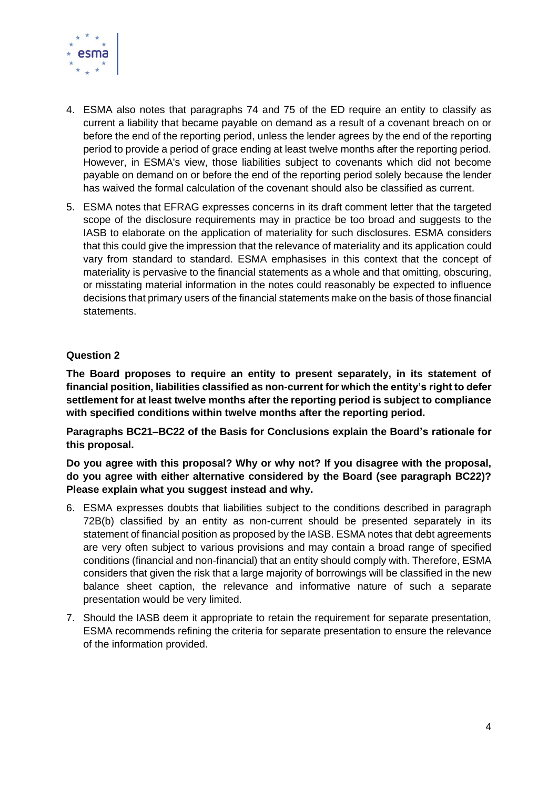

- 4. ESMA also notes that paragraphs 74 and 75 of the ED require an entity to classify as current a liability that became payable on demand as a result of a covenant breach on or before the end of the reporting period, unless the lender agrees by the end of the reporting period to provide a period of grace ending at least twelve months after the reporting period. However, in ESMA's view, those liabilities subject to covenants which did not become payable on demand on or before the end of the reporting period solely because the lender has waived the formal calculation of the covenant should also be classified as current.
- 5. ESMA notes that EFRAG expresses concerns in its draft comment letter that the targeted scope of the disclosure requirements may in practice be too broad and suggests to the IASB to elaborate on the application of materiality for such disclosures. ESMA considers that this could give the impression that the relevance of materiality and its application could vary from standard to standard. ESMA emphasises in this context that the concept of materiality is pervasive to the financial statements as a whole and that omitting, obscuring, or misstating material information in the notes could reasonably be expected to influence decisions that primary users of the financial statements make on the basis of those financial statements.

### **Question 2**

**The Board proposes to require an entity to present separately, in its statement of financial position, liabilities classified as non-current for which the entity's right to defer settlement for at least twelve months after the reporting period is subject to compliance with specified conditions within twelve months after the reporting period.**

**Paragraphs BC21–BC22 of the Basis for Conclusions explain the Board's rationale for this proposal.**

**Do you agree with this proposal? Why or why not? If you disagree with the proposal, do you agree with either alternative considered by the Board (see paragraph BC22)? Please explain what you suggest instead and why.**

- 6. ESMA expresses doubts that liabilities subject to the conditions described in paragraph 72B(b) classified by an entity as non-current should be presented separately in its statement of financial position as proposed by the IASB. ESMA notes that debt agreements are very often subject to various provisions and may contain a broad range of specified conditions (financial and non-financial) that an entity should comply with. Therefore, ESMA considers that given the risk that a large majority of borrowings will be classified in the new balance sheet caption, the relevance and informative nature of such a separate presentation would be very limited.
- 7. Should the IASB deem it appropriate to retain the requirement for separate presentation, ESMA recommends refining the criteria for separate presentation to ensure the relevance of the information provided.